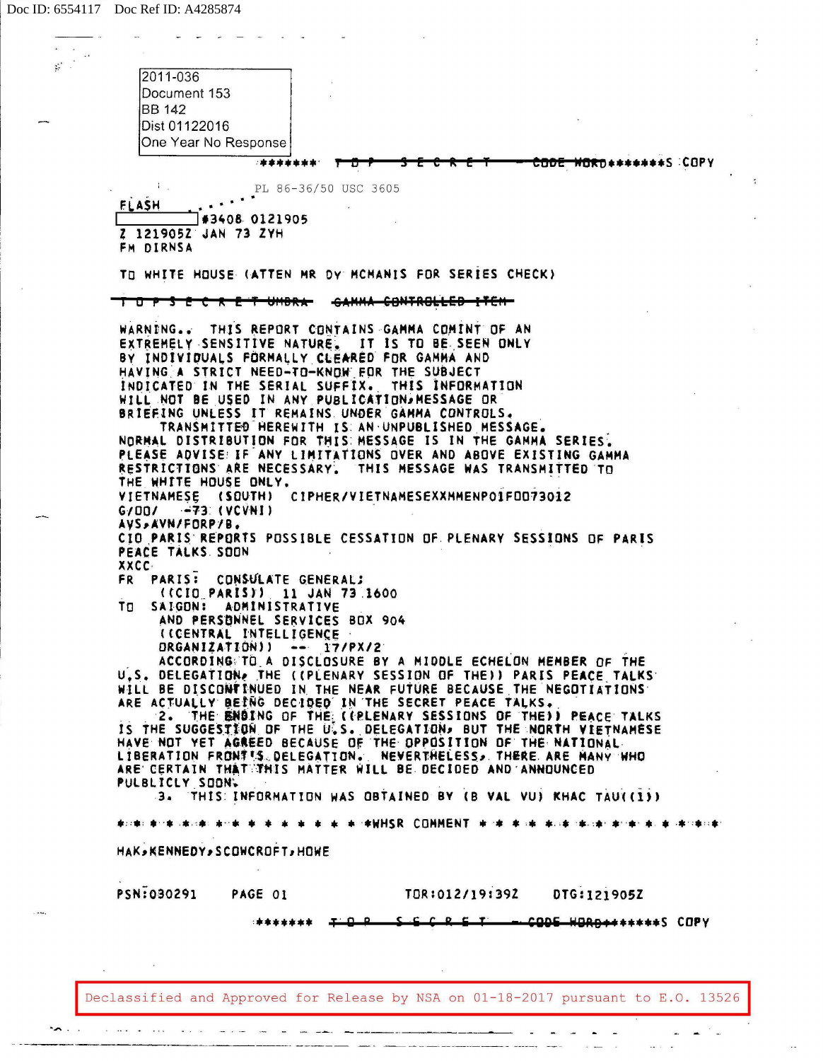| $\mathcal{G}^{\mathcal{G}}$ . | 2011-036                                                                                                                           |
|-------------------------------|------------------------------------------------------------------------------------------------------------------------------------|
|                               | Document 153                                                                                                                       |
|                               | <b>BB</b> 142                                                                                                                      |
|                               | Dist 01122016<br>One Year No Response                                                                                              |
|                               | <b>WORD********S COPY</b><br>5995                                                                                                  |
|                               |                                                                                                                                    |
|                               | PL 86-36/50 USC 3605<br><b>FLASH</b>                                                                                               |
|                               | #3408 0121905                                                                                                                      |
|                               | Z 1219052 JAN 73 ZYH<br>FM DIRNSA                                                                                                  |
|                               | TO WHITE HOUSE (ATTEN MR DY MCMANIS FOR SERIES CHECK)                                                                              |
|                               |                                                                                                                                    |
|                               | T O P S E C R E T UMBRA                                                                                                            |
|                               | WARNING THIS REPORT CONTAINS GAMMA COMINT OF AN                                                                                    |
|                               | EXTREMELY SENSITIVE NATURE. IT IS TO BE SEEN ONLY                                                                                  |
|                               | BY INDIVIDUALS FORMALLY CLEARED FOR GAMMA AND<br>HAVING A STRICT NEED-TO-KNOW FOR THE SUBJECT                                      |
|                               | INDICATED IN THE SERIAL SUFFIX. THIS INFORMATION                                                                                   |
|                               | WILL NOT BE USED IN ANY PUBLICATION. MESSAGE OR<br>BRIEFING UNLESS IT REMAINS UNDER GAMMA CONTROLS.                                |
|                               | TRANSMITTED HEREWITH IS AN UNPUBLISHED MESSAGE.                                                                                    |
|                               | NORMAL DISTRIBUTION FOR THIS MESSAGE IS IN THE GAMMA SERIES.                                                                       |
|                               | PLEASE ADVISE: IF ANY LIMITATIONS OVER AND ABOVE EXISTING GAMMA<br>RESTRICTIONS ARE NECESSARY. THIS MESSAGE WAS TRANSMITTED TO     |
|                               | THE WHITE HOUSE ONLY.                                                                                                              |
|                               | VIETNAMESE (SQUTH) CIPHER/VIETNAMESEXXMMENP01F0073012                                                                              |
|                               | $G/101$ $-73$ (VCVNI)<br>AVS, AVN/FORP/B.                                                                                          |
|                               | CIO PARIS REPORTS POSSIBLE CESSATION OF PLENARY SESSIONS OF PARIS                                                                  |
|                               | PEACE TALKS SOON                                                                                                                   |
|                               | <b>XXCC</b><br>PARIS: CONSULATE GENERAL;<br>FR.                                                                                    |
|                               | ((CID PARIS)) 11 JAN 73 1600                                                                                                       |
|                               | SAIGON:<br>ADMINISTRATIVE<br>ום ד                                                                                                  |
|                               | AND PERSONNEL SERVICES BOX 904<br>(CCENTRAL INTELLIGENCE ·                                                                         |
|                               | DRGANIZATION)) -- 17/PX/2                                                                                                          |
|                               | ACCORDING TO A DISCLOSURE BY A MIDDLE ECHELON MEMBER OF THE<br>U.S. DELEGATION, THE ((PLENARY SESSION OF THE)) PARIS PEACE TALKS   |
|                               | WILL BE DISCONTINUED IN THE NEAR FUTURE BECAUSE THE NEGOTIATIONS                                                                   |
|                               | ARE ACTUALLY BEING DECIDED IN THE SECRET PEACE TALKS.                                                                              |
|                               | 2. THE BNOING OF THE (CRLENARY SESSIONS OF THE)) REACE TALKS<br>IS THE SUGGESTION OF THE U.S. DELEGATION, BUT THE NORTH VIETNAMESE |
|                               | HAVE NOT YET AGREED BECAUSE OF THE OPPOSITION OF THE NATIONAL.                                                                     |
|                               | LIBERATION FRONTIS. DELEGATION. NEVERTHELESS. THERE ARE HANY HHO                                                                   |
|                               | ARE CERTAIN THAT THIS MATTER WILL BE DECIDED AND ANNOUNCED<br>PULBLICLY SOON.                                                      |
|                               | 3. THIS INFORMATION WAS OBTAINED BY (B VAL VU) KHAC TAU((1))                                                                       |
|                               | ※ ※ ※ ※ ※ ※ ※ ※ WANSR COMMENT ※ ※ ※ ※ ※ ※ ※ ※ ※ ※ ※ ※ ※ ※ ※ ※<br>東北南北東北東北東北東北東                                                     |
|                               | HAK, KENNEDY, SCOWCROFT, HOWE                                                                                                      |
|                               |                                                                                                                                    |
|                               | PSN:030291 PAGE 01<br>TOR:012/19:392<br>DTG:121905Z                                                                                |
|                               | - CODE HORD+++++++5 COPY<br>C C C D C T                                                                                            |
|                               | *******                                                                                                                            |
|                               |                                                                                                                                    |
|                               |                                                                                                                                    |
|                               | Declassified and Approved for Release by NSA on 01-18-2017 pursuant to E.O. 13526                                                  |
|                               |                                                                                                                                    |

 $\overline{\mathbf{r}}$